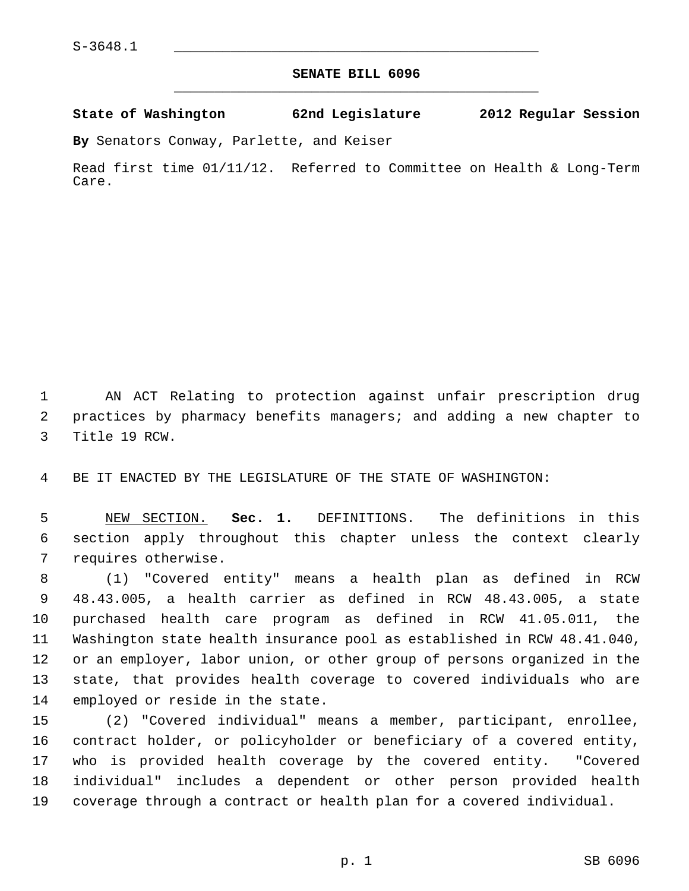## **SENATE BILL 6096** \_\_\_\_\_\_\_\_\_\_\_\_\_\_\_\_\_\_\_\_\_\_\_\_\_\_\_\_\_\_\_\_\_\_\_\_\_\_\_\_\_\_\_\_\_

**State of Washington 62nd Legislature 2012 Regular Session**

**By** Senators Conway, Parlette, and Keiser

Read first time 01/11/12. Referred to Committee on Health & Long-Term Care.

 1 AN ACT Relating to protection against unfair prescription drug 2 practices by pharmacy benefits managers; and adding a new chapter to 3 Title 19 RCW.

4 BE IT ENACTED BY THE LEGISLATURE OF THE STATE OF WASHINGTON:

 5 NEW SECTION. **Sec. 1.** DEFINITIONS. The definitions in this 6 section apply throughout this chapter unless the context clearly 7 requires otherwise.

 8 (1) "Covered entity" means a health plan as defined in RCW 9 48.43.005, a health carrier as defined in RCW 48.43.005, a state 10 purchased health care program as defined in RCW 41.05.011, the 11 Washington state health insurance pool as established in RCW 48.41.040, 12 or an employer, labor union, or other group of persons organized in the 13 state, that provides health coverage to covered individuals who are 14 employed or reside in the state.

15 (2) "Covered individual" means a member, participant, enrollee, 16 contract holder, or policyholder or beneficiary of a covered entity, 17 who is provided health coverage by the covered entity. "Covered 18 individual" includes a dependent or other person provided health 19 coverage through a contract or health plan for a covered individual.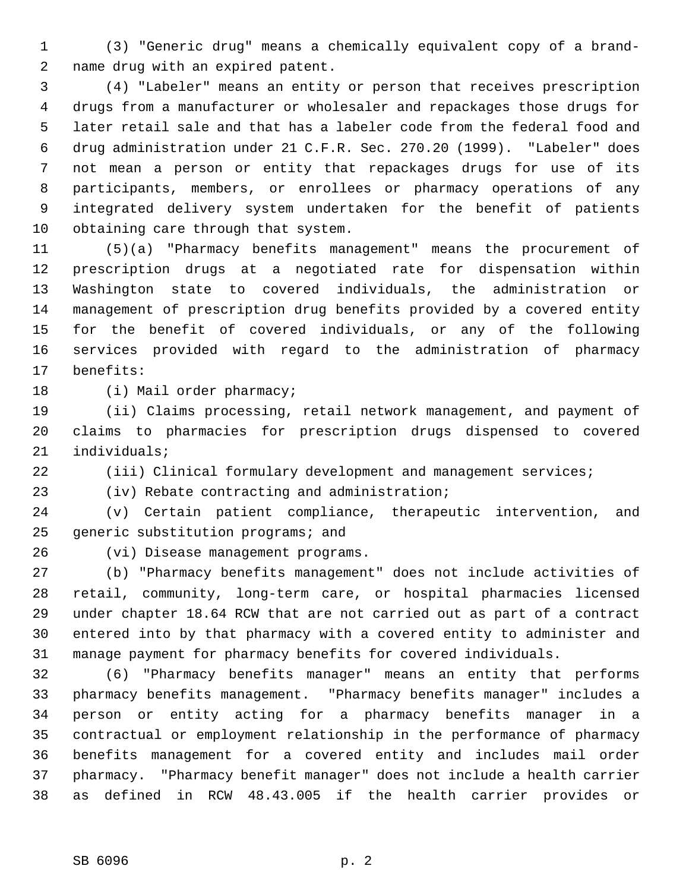1 (3) "Generic drug" means a chemically equivalent copy of a brand- 2 name drug with an expired patent.

 3 (4) "Labeler" means an entity or person that receives prescription 4 drugs from a manufacturer or wholesaler and repackages those drugs for 5 later retail sale and that has a labeler code from the federal food and 6 drug administration under 21 C.F.R. Sec. 270.20 (1999). "Labeler" does 7 not mean a person or entity that repackages drugs for use of its 8 participants, members, or enrollees or pharmacy operations of any 9 integrated delivery system undertaken for the benefit of patients 10 obtaining care through that system.

11 (5)(a) "Pharmacy benefits management" means the procurement of 12 prescription drugs at a negotiated rate for dispensation within 13 Washington state to covered individuals, the administration or 14 management of prescription drug benefits provided by a covered entity 15 for the benefit of covered individuals, or any of the following 16 services provided with regard to the administration of pharmacy 17 benefits:

18 (i) Mail order pharmacy;

19 (ii) Claims processing, retail network management, and payment of 20 claims to pharmacies for prescription drugs dispensed to covered 21 individuals;

22 (iii) Clinical formulary development and management services;

23 (iv) Rebate contracting and administration;

24 (v) Certain patient compliance, therapeutic intervention, and 25 generic substitution programs; and

26 (vi) Disease management programs.

27 (b) "Pharmacy benefits management" does not include activities of 28 retail, community, long-term care, or hospital pharmacies licensed 29 under chapter 18.64 RCW that are not carried out as part of a contract 30 entered into by that pharmacy with a covered entity to administer and 31 manage payment for pharmacy benefits for covered individuals.

32 (6) "Pharmacy benefits manager" means an entity that performs 33 pharmacy benefits management. "Pharmacy benefits manager" includes a 34 person or entity acting for a pharmacy benefits manager in a 35 contractual or employment relationship in the performance of pharmacy 36 benefits management for a covered entity and includes mail order 37 pharmacy. "Pharmacy benefit manager" does not include a health carrier 38 as defined in RCW 48.43.005 if the health carrier provides or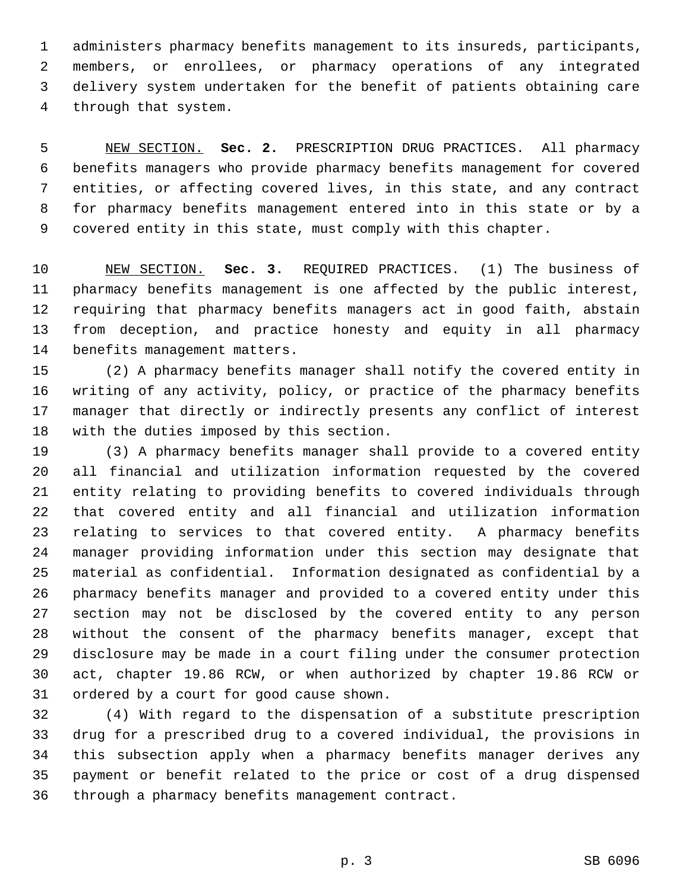1 administers pharmacy benefits management to its insureds, participants, 2 members, or enrollees, or pharmacy operations of any integrated 3 delivery system undertaken for the benefit of patients obtaining care 4 through that system.

 5 NEW SECTION. **Sec. 2.** PRESCRIPTION DRUG PRACTICES. All pharmacy 6 benefits managers who provide pharmacy benefits management for covered 7 entities, or affecting covered lives, in this state, and any contract 8 for pharmacy benefits management entered into in this state or by a 9 covered entity in this state, must comply with this chapter.

10 NEW SECTION. **Sec. 3.** REQUIRED PRACTICES. (1) The business of 11 pharmacy benefits management is one affected by the public interest, 12 requiring that pharmacy benefits managers act in good faith, abstain 13 from deception, and practice honesty and equity in all pharmacy 14 benefits management matters.

15 (2) A pharmacy benefits manager shall notify the covered entity in 16 writing of any activity, policy, or practice of the pharmacy benefits 17 manager that directly or indirectly presents any conflict of interest 18 with the duties imposed by this section.

19 (3) A pharmacy benefits manager shall provide to a covered entity 20 all financial and utilization information requested by the covered 21 entity relating to providing benefits to covered individuals through 22 that covered entity and all financial and utilization information 23 relating to services to that covered entity. A pharmacy benefits 24 manager providing information under this section may designate that 25 material as confidential. Information designated as confidential by a 26 pharmacy benefits manager and provided to a covered entity under this 27 section may not be disclosed by the covered entity to any person 28 without the consent of the pharmacy benefits manager, except that 29 disclosure may be made in a court filing under the consumer protection 30 act, chapter 19.86 RCW, or when authorized by chapter 19.86 RCW or 31 ordered by a court for good cause shown.

32 (4) With regard to the dispensation of a substitute prescription 33 drug for a prescribed drug to a covered individual, the provisions in 34 this subsection apply when a pharmacy benefits manager derives any 35 payment or benefit related to the price or cost of a drug dispensed 36 through a pharmacy benefits management contract.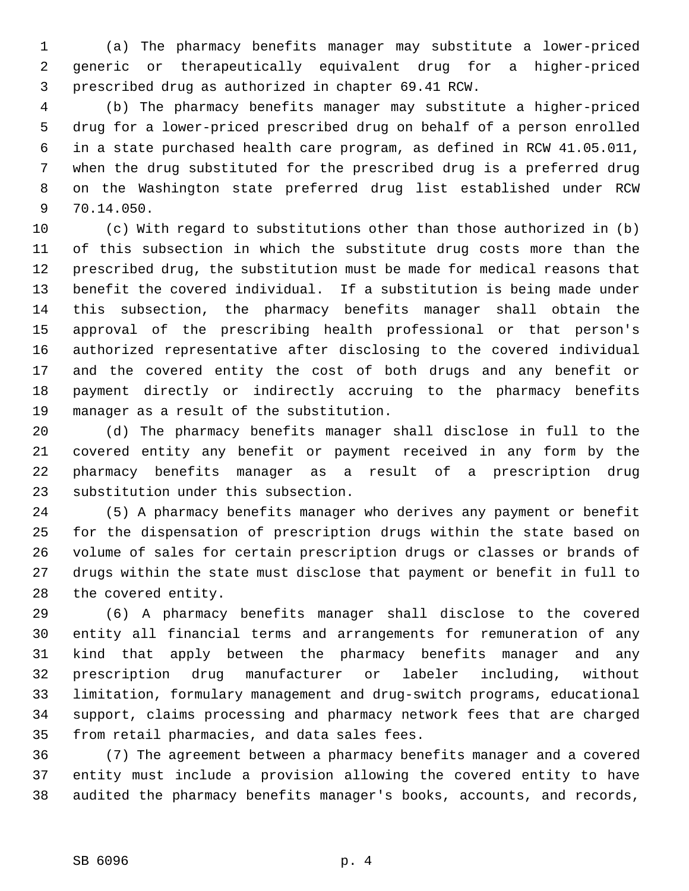1 (a) The pharmacy benefits manager may substitute a lower-priced 2 generic or therapeutically equivalent drug for a higher-priced 3 prescribed drug as authorized in chapter 69.41 RCW.

 4 (b) The pharmacy benefits manager may substitute a higher-priced 5 drug for a lower-priced prescribed drug on behalf of a person enrolled 6 in a state purchased health care program, as defined in RCW 41.05.011, 7 when the drug substituted for the prescribed drug is a preferred drug 8 on the Washington state preferred drug list established under RCW 9 70.14.050.

10 (c) With regard to substitutions other than those authorized in (b) 11 of this subsection in which the substitute drug costs more than the 12 prescribed drug, the substitution must be made for medical reasons that 13 benefit the covered individual. If a substitution is being made under 14 this subsection, the pharmacy benefits manager shall obtain the 15 approval of the prescribing health professional or that person's 16 authorized representative after disclosing to the covered individual 17 and the covered entity the cost of both drugs and any benefit or 18 payment directly or indirectly accruing to the pharmacy benefits 19 manager as a result of the substitution.

20 (d) The pharmacy benefits manager shall disclose in full to the 21 covered entity any benefit or payment received in any form by the 22 pharmacy benefits manager as a result of a prescription drug 23 substitution under this subsection.

24 (5) A pharmacy benefits manager who derives any payment or benefit 25 for the dispensation of prescription drugs within the state based on 26 volume of sales for certain prescription drugs or classes or brands of 27 drugs within the state must disclose that payment or benefit in full to 28 the covered entity.

29 (6) A pharmacy benefits manager shall disclose to the covered 30 entity all financial terms and arrangements for remuneration of any 31 kind that apply between the pharmacy benefits manager and any 32 prescription drug manufacturer or labeler including, without 33 limitation, formulary management and drug-switch programs, educational 34 support, claims processing and pharmacy network fees that are charged 35 from retail pharmacies, and data sales fees.

36 (7) The agreement between a pharmacy benefits manager and a covered 37 entity must include a provision allowing the covered entity to have 38 audited the pharmacy benefits manager's books, accounts, and records,